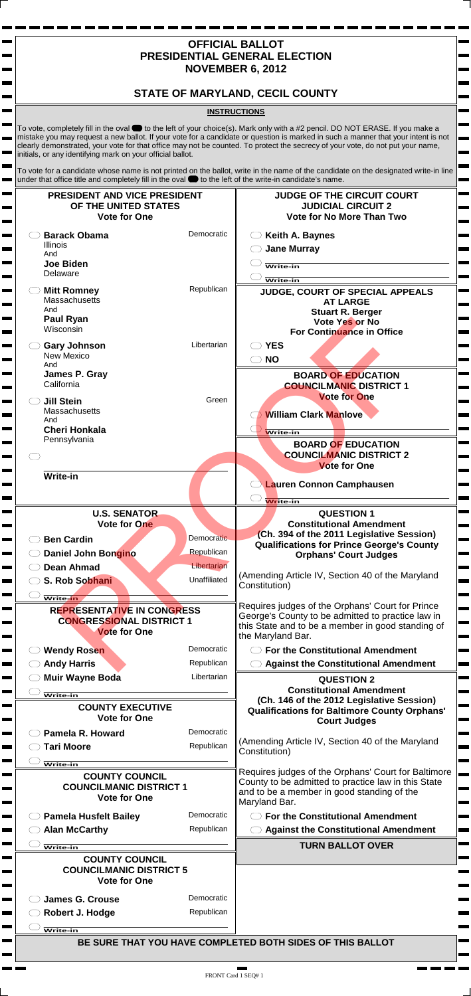## **OFFICIAL BALLOT PRESIDENTIAL GENERAL ELECTION NOVEMBER 6, 2012**

 $\overline{\phantom{a}}$  $\overline{\phantom{a}}$ 

 $\overline{\phantom{a}}$  $\overline{\phantom{a}}$  $\mathbf{r}$ 

**Contract**  $\blacksquare$ 

 $\blacksquare$ 

**Contract**  $\mathbf{r}$ 

٠  $\mathbf{r}$ 

**The Co** 

**Contract**  $\mathbf{r}$ 

 $\blacksquare$ 

 $\overline{a}$  $\mathbf{r}$ 

 $\mathbf{r}$ 

## **STATE OF MARYLAND, CECIL COUNTY**

## **INSTRUCTIONS**

To vote, completely fill in the oval ● to the left of your choice(s). Mark only with a #2 pencil. DO NOT ERASE. If you make a mistake you may request a new ballot. If your vote for a candidate or question is marked in such a manner that your intent is not clearly demonstrated, your vote for that office may not be counted. To protect the secrecy of your vote, do not put your name, initials, or any identifying mark on your official ballot.

To vote for a candidate whose name is not printed on the ballot, write in the name of the candidate on the designated write-in line under that office title and completely fill in the oval  $\blacksquare$  to the left of the write-in candidate's name.

|                                                                      | PRESIDENT AND VICE PRESIDENT | <b>JUDGE OF THE CIRCUIT COURT</b>                                                                  |
|----------------------------------------------------------------------|------------------------------|----------------------------------------------------------------------------------------------------|
| OF THE UNITED STATES                                                 |                              | <b>JUDICIAL CIRCUIT 2</b>                                                                          |
| <b>Vote for One</b>                                                  |                              | <b>Vote for No More Than Two</b>                                                                   |
| <b>Barack Obama</b>                                                  | Democratic                   | Keith A. Baynes                                                                                    |
| <b>Illinois</b>                                                      |                              | <b>Jane Murray</b>                                                                                 |
| And<br><b>Joe Biden</b>                                              |                              | Write-in                                                                                           |
| Delaware                                                             |                              |                                                                                                    |
| <b>Mitt Romney</b>                                                   | Republican                   | Write-in<br>JUDGE, COURT OF SPECIAL APPEALS                                                        |
| <b>Massachusetts</b>                                                 |                              | <b>AT LARGE</b>                                                                                    |
| And                                                                  |                              | <b>Stuart R. Berger</b>                                                                            |
| <b>Paul Ryan</b><br>Wisconsin                                        |                              | <b>Vote Yes or No</b>                                                                              |
|                                                                      |                              | For Continuance in Office                                                                          |
| <b>Gary Johnson</b>                                                  | Libertarian                  | <b>YES</b>                                                                                         |
| <b>New Mexico</b><br>And                                             |                              | $\bigcirc$ NO                                                                                      |
| James P. Gray                                                        |                              | <b>BOARD OF EDUCATION</b>                                                                          |
| California                                                           |                              | <b>COUNCILMANIC DISTRICT 1</b>                                                                     |
| <b>Jill Stein</b>                                                    | Green                        | <b>Vote for One</b>                                                                                |
| Massachusetts                                                        |                              | <b>William Clark Manlove</b>                                                                       |
| And<br><b>Cheri Honkala</b>                                          |                              |                                                                                                    |
| Pennsylvania                                                         |                              | <b>Write-in</b>                                                                                    |
|                                                                      |                              | <b>BOARD OF EDUCATION</b><br><b>COUNCILMANIC DISTRICT 2</b>                                        |
|                                                                      |                              | <b>Vote for One</b>                                                                                |
| <b>Write-in</b>                                                      |                              |                                                                                                    |
|                                                                      |                              | <b>Lauren Connon Camphausen</b>                                                                    |
|                                                                      |                              | <b>Write-in</b>                                                                                    |
| <b>U.S. SENATOR</b>                                                  |                              | <b>QUESTION 1</b>                                                                                  |
| <b>Vote for One</b>                                                  |                              | <b>Constitutional Amendment</b>                                                                    |
| <b>Ben Cardin</b>                                                    | Democratic                   | (Ch. 394 of the 2011 Legislative Session)<br><b>Qualifications for Prince George's County</b>      |
| Daniel John Bongino                                                  | Republican                   | <b>Orphans' Court Judges</b>                                                                       |
| Dean Ahmad                                                           | Libertarian                  |                                                                                                    |
| S. Rob Sobhani                                                       | Unaffiliated                 | (Amending Article IV, Section 40 of the Maryland                                                   |
|                                                                      |                              | Constitution)                                                                                      |
| Write-in                                                             |                              | Requires judges of the Orphans' Court for Prince                                                   |
| <b>REPRESENTATIVE IN CONGRESS</b><br><b>CONGRESSIONAL DISTRICT 1</b> |                              | George's County to be admitted to practice law in                                                  |
| <b>Vote for One</b>                                                  |                              | this State and to be a member in good standing of<br>the Maryland Bar.                             |
|                                                                      | Democratic                   |                                                                                                    |
| <b>Wendy Rosen</b>                                                   |                              | $\bigcirc$ For the Constitutional Amendment                                                        |
| <b>Andy Harris</b>                                                   | Republican                   | <b>Against the Constitutional Amendment</b>                                                        |
| <b>Muir Wayne Boda</b>                                               | Libertarian                  | <b>QUESTION 2</b>                                                                                  |
| Write-in                                                             |                              | <b>Constitutional Amendment</b>                                                                    |
| <b>COUNTY EXECUTIVE</b>                                              |                              | (Ch. 146 of the 2012 Legislative Session)<br><b>Qualifications for Baltimore County Orphans'</b>   |
| <b>Vote for One</b>                                                  |                              | <b>Court Judges</b>                                                                                |
| <b>Pamela R. Howard</b>                                              | Democratic                   |                                                                                                    |
|                                                                      | Republican                   | (Amending Article IV, Section 40 of the Maryland                                                   |
|                                                                      |                              | Constitution)                                                                                      |
| <b>Tari Moore</b>                                                    |                              |                                                                                                    |
| <b>Write-in</b>                                                      |                              |                                                                                                    |
| <b>COUNTY COUNCIL</b>                                                |                              | County to be admitted to practice law in this State                                                |
| <b>COUNCILMANIC DISTRICT 1</b>                                       |                              | and to be a member in good standing of the                                                         |
| <b>Vote for One</b>                                                  |                              | Maryland Bar.                                                                                      |
| <b>Pamela Husfelt Bailey</b>                                         | Democratic                   | $\bigcirc$ For the Constitutional Amendment                                                        |
| <b>Alan McCarthy</b>                                                 | Republican                   | Requires judges of the Orphans' Court for Baltimore<br><b>Against the Constitutional Amendment</b> |
| Write-in                                                             |                              | <b>TURN BALLOT OVER</b>                                                                            |
| <b>COUNTY COUNCIL</b>                                                |                              |                                                                                                    |
| <b>COUNCILMANIC DISTRICT 5</b><br><b>Vote for One</b>                |                              |                                                                                                    |
|                                                                      |                              |                                                                                                    |
| <b>James G. Crouse</b>                                               | Democratic                   |                                                                                                    |
| Robert J. Hodge                                                      | Republican                   |                                                                                                    |
| Write-in                                                             |                              |                                                                                                    |
|                                                                      |                              | BE SURE THAT YOU HAVE COMPLETED BOTH SIDES OF THIS BALLOT                                          |